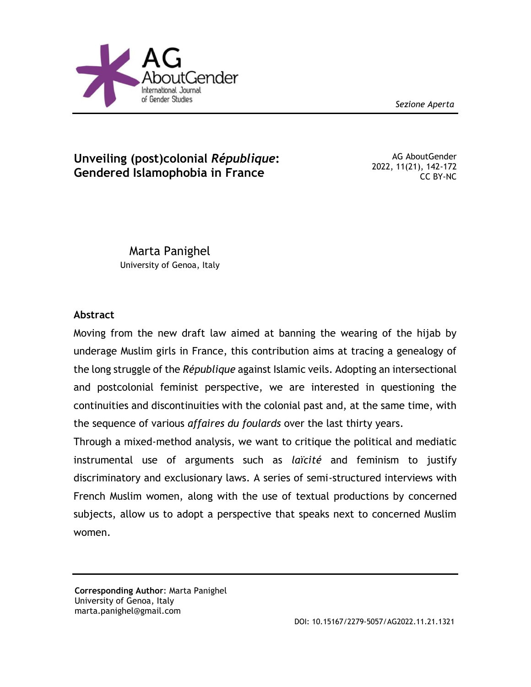*Sezione Aperta*



## **Unveiling (post)colonial** *République***: Gendered Islamophobia in France**

AG AboutGender 2022, 11(21), 142-172 CC BY-NC

Marta Panighel University of Genoa, Italy

### **Abstract**

Moving from the new draft law aimed at banning the wearing of the hijab by underage Muslim girls in France, this contribution aims at tracing a genealogy of the long struggle of the *République* against Islamic veils. Adopting an intersectional and postcolonial feminist perspective, we are interested in questioning the continuities and discontinuities with the colonial past and, at the same time, with the sequence of various *affaires du foulards* over the last thirty years.

Through a mixed-method analysis, we want to critique the political and mediatic instrumental use of arguments such as *laïcité* and feminism to justify discriminatory and exclusionary laws. A series of semi-structured interviews with French Muslim women, along with the use of textual productions by concerned subjects, allow us to adopt a perspective that speaks next to concerned Muslim women.

**Corresponding Author**: Marta Panighel University of Genoa, Italy marta.panighel@gmail.com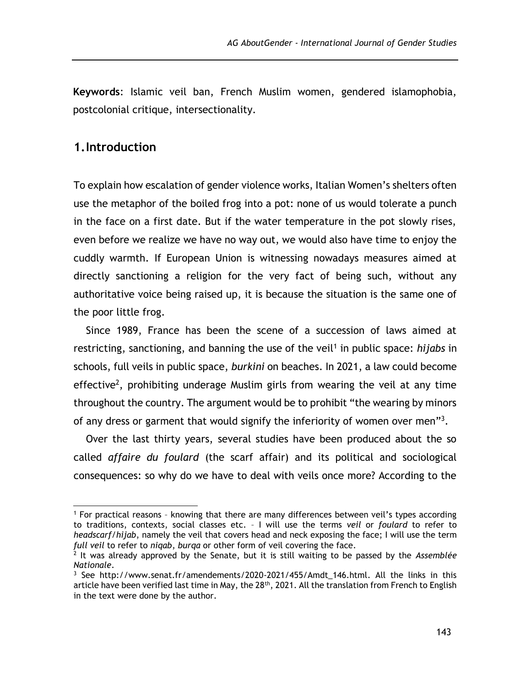**Keywords**: Islamic veil ban, French Muslim women, gendered islamophobia, postcolonial critique, intersectionality.

### **1.Introduction**

 $\overline{a}$ 

To explain how escalation of gender violence works, Italian Women's shelters often use the metaphor of the boiled frog into a pot: none of us would tolerate a punch in the face on a first date. But if the water temperature in the pot slowly rises, even before we realize we have no way out, we would also have time to enjoy the cuddly warmth. If European Union is witnessing nowadays measures aimed at directly sanctioning a religion for the very fact of being such, without any authoritative voice being raised up, it is because the situation is the same one of the poor little frog.

Since 1989, France has been the scene of a succession of laws aimed at restricting, sanctioning, and banning the use of the veil<sup>1</sup> in public space: *hijabs* in schools, full veils in public space, *burkini* on beaches. In 2021, a law could become effective<sup>2</sup>, prohibiting underage Muslim girls from wearing the veil at any time throughout the country. The argument would be to prohibit "the wearing by minors of any dress or garment that would signify the inferiority of women over men"<sup>3</sup>.

Over the last thirty years, several studies have been produced about the so called *affaire du foulard* (the scarf affair) and its political and sociological consequences: so why do we have to deal with veils once more? According to the

<sup>1</sup> For practical reasons – knowing that there are many differences between veil's types according to traditions, contexts, social classes etc. – I will use the terms *veil* or *foulard* to refer to *headscarf/hijab*, namely the veil that covers head and neck exposing the face; I will use the term *full veil* to refer to *niqab*, *burqa* or other form of veil covering the face.

<sup>2</sup> It was already approved by the Senate, but it is still waiting to be passed by the *Assemblée Nationale*.

<sup>&</sup>lt;sup>3</sup> See [http://www.senat.fr/amendements/2020-2021/455/Amdt\\_146.html.](http://www.senat.fr/amendements/2020-2021/455/Amdt_146.html) All the links in this article have been verified last time in May, the 28<sup>th</sup>, 2021. All the translation from French to English in the text were done by the author.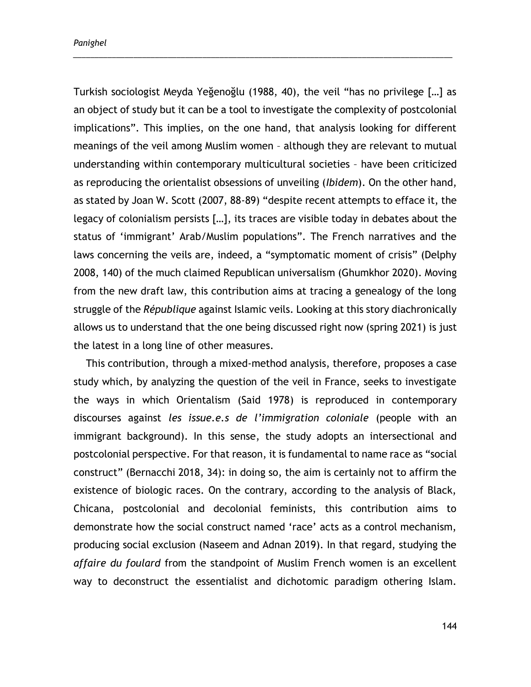Turkish sociologist Meyda Yeğenoğlu (1988, 40), the veil "has no privilege […] as an object of study but it can be a tool to investigate the complexity of postcolonial implications". This implies, on the one hand, that analysis looking for different meanings of the veil among Muslim women – although they are relevant to mutual understanding within contemporary multicultural societies – have been criticized as reproducing the orientalist obsessions of unveiling (*Ibidem*). On the other hand, as stated by Joan W. Scott (2007, 88-89) "despite recent attempts to efface it, the legacy of colonialism persists […], its traces are visible today in debates about the status of 'immigrant' Arab/Muslim populations". The French narratives and the laws concerning the veils are, indeed, a "symptomatic moment of crisis" (Delphy 2008, 140) of the much claimed Republican universalism (Ghumkhor 2020). Moving from the new draft law, this contribution aims at tracing a genealogy of the long struggle of the *République* against Islamic veils. Looking at this story diachronically allows us to understand that the one being discussed right now (spring 2021) is just the latest in a long line of other measures.

\_\_\_\_\_\_\_\_\_\_\_\_\_\_\_\_\_\_\_\_\_\_\_\_\_\_\_\_\_\_\_\_\_\_\_\_\_\_\_\_\_\_\_\_\_\_\_\_\_\_\_\_\_\_\_\_\_\_\_\_\_\_\_\_\_\_\_\_\_\_\_\_\_\_\_\_\_\_\_\_\_\_\_\_\_\_\_\_

This contribution, through a mixed-method analysis, therefore, proposes a case study which, by analyzing the question of the veil in France, seeks to investigate the ways in which Orientalism (Said 1978) is reproduced in contemporary discourses against *les issue.e.s de l'immigration coloniale* (people with an immigrant background). In this sense, the study adopts an intersectional and postcolonial perspective. For that reason, it is fundamental to name race as "social construct" (Bernacchi 2018, 34): in doing so, the aim is certainly not to affirm the existence of biologic races. On the contrary, according to the analysis of Black, Chicana, postcolonial and decolonial feminists, this contribution aims to demonstrate how the social construct named 'race' acts as a control mechanism, producing social exclusion (Naseem and Adnan 2019). In that regard, studying the *affaire du foulard* from the standpoint of Muslim French women is an excellent way to deconstruct the essentialist and dichotomic paradigm othering Islam.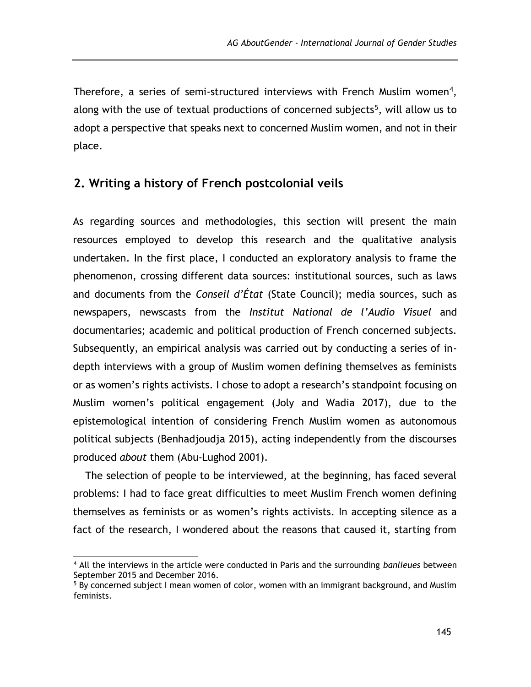Therefore, a series of semi-structured interviews with French Muslim women<sup>4</sup>, along with the use of textual productions of concerned subjects<sup>5</sup>, will allow us to adopt a perspective that speaks next to concerned Muslim women, and not in their place.

## **2. Writing a history of French postcolonial veils**

As regarding sources and methodologies, this section will present the main resources employed to develop this research and the qualitative analysis undertaken. In the first place, I conducted an exploratory analysis to frame the phenomenon, crossing different data sources: institutional sources, such as laws and documents from the *Conseil d'État* (State Council); media sources, such as newspapers, newscasts from the *Institut National de l'Audio Visuel* and documentaries; academic and political production of French concerned subjects. Subsequently, an empirical analysis was carried out by conducting a series of indepth interviews with a group of Muslim women defining themselves as feminists or as women's rights activists. I chose to adopt a research's standpoint focusing on Muslim women's political engagement (Joly and Wadia 2017), due to the epistemological intention of considering French Muslim women as autonomous political subjects (Benhadjoudja 2015), acting independently from the discourses produced *about* them (Abu-Lughod 2001).

The selection of people to be interviewed, at the beginning, has faced several problems: I had to face great difficulties to meet Muslim French women defining themselves as feminists or as women's rights activists. In accepting silence as a fact of the research, I wondered about the reasons that caused it, starting from

<sup>4</sup> All the interviews in the article were conducted in Paris and the surrounding *banlieues* between September 2015 and December 2016.

<sup>5</sup> By concerned subject I mean women of color, women with an immigrant background, and Muslim feminists.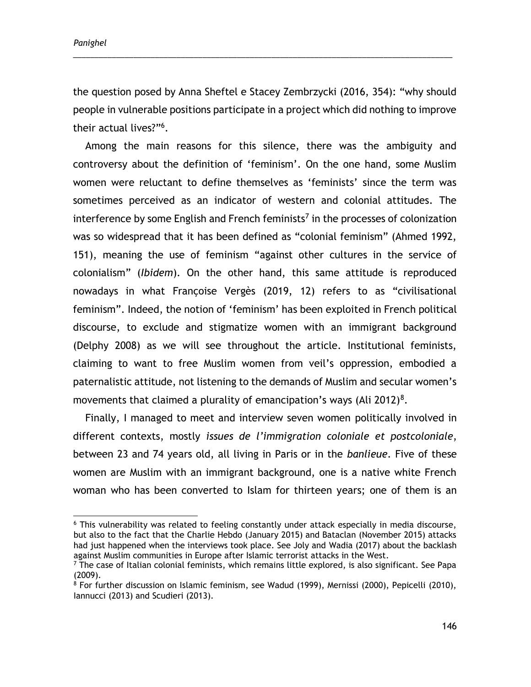*Panighel*

 $\overline{a}$ 

the question posed by Anna Sheftel e Stacey Zembrzycki (2016, 354): "why should people in vulnerable positions participate in a project which did nothing to improve their actual lives?"<sup>6</sup> .

\_\_\_\_\_\_\_\_\_\_\_\_\_\_\_\_\_\_\_\_\_\_\_\_\_\_\_\_\_\_\_\_\_\_\_\_\_\_\_\_\_\_\_\_\_\_\_\_\_\_\_\_\_\_\_\_\_\_\_\_\_\_\_\_\_\_\_\_\_\_\_\_\_\_\_\_\_\_\_\_\_\_\_\_\_\_\_\_

Among the main reasons for this silence, there was the ambiguity and controversy about the definition of 'feminism'. On the one hand, some Muslim women were reluctant to define themselves as 'feminists' since the term was sometimes perceived as an indicator of western and colonial attitudes. The interference by some English and French feminists<sup>7</sup> in the processes of colonization was so widespread that it has been defined as "colonial feminism" (Ahmed 1992, 151), meaning the use of feminism "against other cultures in the service of colonialism" (*Ibidem*). On the other hand, this same attitude is reproduced nowadays in what Françoise Vergès (2019, 12) refers to as "civilisational feminism". Indeed, the notion of 'feminism' has been exploited in French political discourse, to exclude and stigmatize women with an immigrant background (Delphy 2008) as we will see throughout the article. Institutional feminists, claiming to want to free Muslim women from veil's oppression, embodied a paternalistic attitude, not listening to the demands of Muslim and secular women's movements that claimed a plurality of emancipation's ways (Ali 2012)<sup>8</sup>.

Finally, I managed to meet and interview seven women politically involved in different contexts, mostly *issues de l'immigration coloniale et postcoloniale*, between 23 and 74 years old, all living in Paris or in the *banlieue*. Five of these women are Muslim with an immigrant background, one is a native white French woman who has been converted to Islam for thirteen years; one of them is an

<sup>&</sup>lt;sup>6</sup> This vulnerability was related to feeling constantly under attack especially in media discourse, but also to the fact that the Charlie Hebdo (January 2015) and Bataclan (November 2015) attacks had just happened when the interviews took place. See Joly and Wadia (2017) about the backlash against Muslim communities in Europe after Islamic terrorist attacks in the West.

 $<sup>7</sup>$  The case of Italian colonial feminists, which remains little explored, is also significant. See Papa</sup> (2009).

<sup>&</sup>lt;sup>8</sup> For further discussion on Islamic feminism, see Wadud (1999), Mernissi (2000), Pepicelli (2010), Iannucci (2013) and Scudieri (2013).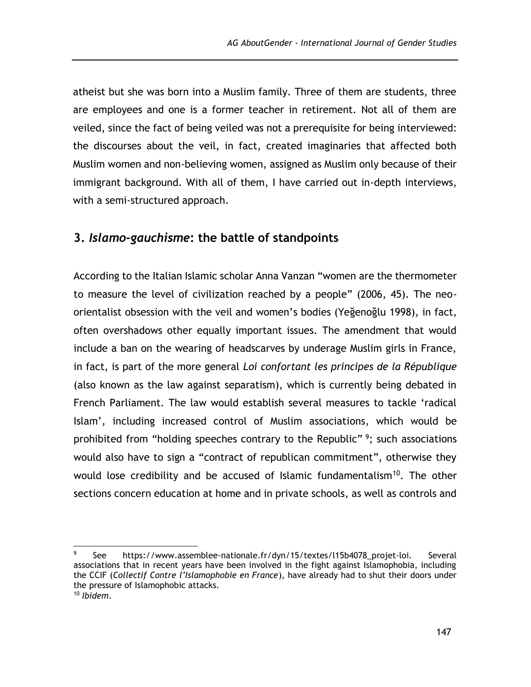atheist but she was born into a Muslim family. Three of them are students, three are employees and one is a former teacher in retirement. Not all of them are veiled, since the fact of being veiled was not a prerequisite for being interviewed: the discourses about the veil, in fact, created imaginaries that affected both Muslim women and non-believing women, assigned as Muslim only because of their immigrant background. With all of them, I have carried out in-depth interviews, with a semi-structured approach.

## **3.** *Islamo-gauchisme***: the battle of standpoints**

According to the Italian Islamic scholar Anna Vanzan "women are the thermometer to measure the level of civilization reached by a people" (2006, 45). The neoorientalist obsession with the veil and women's bodies (Yeğenoğlu 1998), in fact, often overshadows other equally important issues. The amendment that would include a ban on the wearing of headscarves by underage Muslim girls in France, in fact, is part of the more general *Loi confortant les principes de la République* (also known as the law against separatism), which is currently being debated in French Parliament. The law would establish several measures to tackle 'radical Islam', including increased control of Muslim associations, which would be prohibited from "holding speeches contrary to the Republic"<sup>9</sup>; such associations would also have to sign a "contract of republican commitment", otherwise they would lose credibility and be accused of Islamic fundamentalism<sup>10</sup>. The other sections concern education at home and in private schools, as well as controls and

 <sup>9</sup> See [https://www.assemblee-nationale.fr/dyn/15/textes/l15b4078\\_projet-loi](https://www.assemblee-nationale.fr/dyn/15/textes/l15b4078_projet-loi)*.* Several associations that in recent years have been involved in the fight against Islamophobia, including the CCIF (*Collectif Contre l'Islamophobie en France*), have already had to shut their doors under the pressure of Islamophobic attacks. <sup>10</sup> *Ibidem*.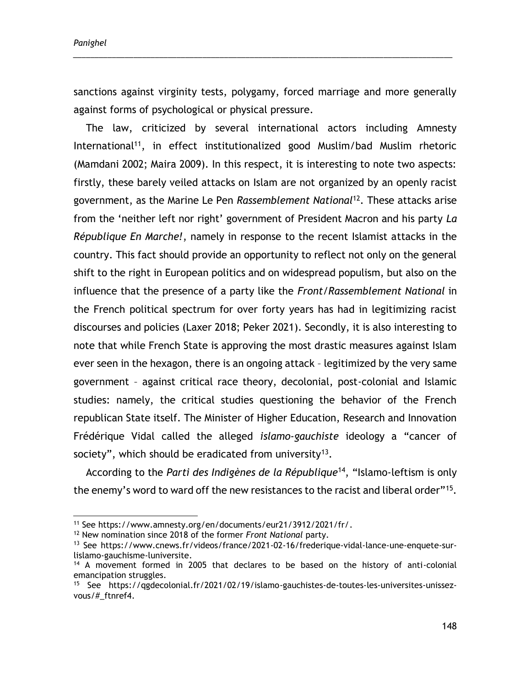$\overline{a}$ 

sanctions against virginity tests, polygamy, forced marriage and more generally against forms of psychological or physical pressure.

\_\_\_\_\_\_\_\_\_\_\_\_\_\_\_\_\_\_\_\_\_\_\_\_\_\_\_\_\_\_\_\_\_\_\_\_\_\_\_\_\_\_\_\_\_\_\_\_\_\_\_\_\_\_\_\_\_\_\_\_\_\_\_\_\_\_\_\_\_\_\_\_\_\_\_\_\_\_\_\_\_\_\_\_\_\_\_\_

The law, criticized by several international actors including Amnesty International<sup>11</sup>, in effect institutionalized good Muslim/bad Muslim rhetoric (Mamdani 2002; Maira 2009). In this respect, it is interesting to note two aspects: firstly, these barely veiled attacks on Islam are not organized by an openly racist government, as the Marine Le Pen *Rassemblement National*<sup>12</sup>. These attacks arise from the 'neither left nor right' government of President Macron and his party *La République En Marche!*, namely in response to the recent Islamist attacks in the country. This fact should provide an opportunity to reflect not only on the general shift to the right in European politics and on widespread populism, but also on the influence that the presence of a party like the *Front/Rassemblement National* in the French political spectrum for over forty years has had in legitimizing racist discourses and policies (Laxer 2018; Peker 2021). Secondly, it is also interesting to note that while French State is approving the most drastic measures against Islam ever seen in the hexagon, there is an ongoing attack – legitimized by the very same government – against critical race theory, decolonial, post-colonial and Islamic studies: namely, the critical studies questioning the behavior of the French republican State itself. The Minister of Higher Education, Research and Innovation Frédérique Vidal called the alleged *islamo-gauchiste* ideology a "cancer of society", which should be eradicated from university<sup>13</sup>.

According to the *Parti des Indigènes de la République*<sup>14</sup>, "Islamo-leftism is only the enemy's word to ward off the new resistances to the racist and liberal order"<sup>15</sup>.

<sup>11</sup> See [https://www.amnesty.org/en/documents/eur21/3912/2021/fr/.](https://www.amnesty.org/en/documents/eur21/3912/2021/fr/)

<sup>12</sup> New nomination since 2018 of the former *Front National* party.

<sup>13</sup> See [https://www.cnews.fr/videos/france/2021-02-16/frederique-vidal-lance-une-enquete-sur](https://www.cnews.fr/videos/france/2021-02-16/frederique-vidal-lance-une-enquete-sur-lislamo-gauchisme-luniversite)[lislamo-gauchisme-luniversite.](https://www.cnews.fr/videos/france/2021-02-16/frederique-vidal-lance-une-enquete-sur-lislamo-gauchisme-luniversite)

<sup>14</sup> A movement formed in 2005 that declares to be based on the history of anti-colonial emancipation struggles.

<sup>15</sup> See [https://qgdecolonial.fr/2021/02/19/islamo-gauchistes-de-toutes-les-universites-unissez](https://qgdecolonial.fr/2021/02/19/islamo-gauchistes-de-toutes-les-universites-unissez-vous/#_ftnref4)[vous/#\\_ftnref4.](https://qgdecolonial.fr/2021/02/19/islamo-gauchistes-de-toutes-les-universites-unissez-vous/#_ftnref4)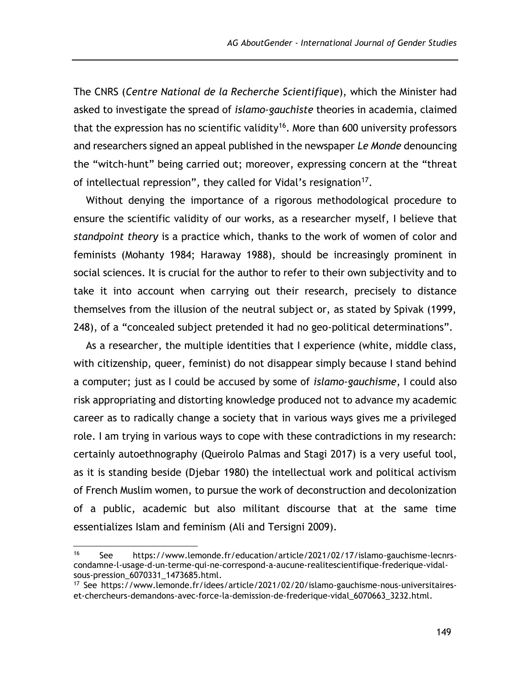The CNRS (*Centre National de la Recherche Scientifique*), which the Minister had asked to investigate the spread of *islamo-gauchiste* theories in academia, claimed that the expression has no scientific validity<sup>16</sup>. More than 600 university professors and researchers signed an appeal published in the newspaper *Le Monde* denouncing the "witch-hunt" being carried out; moreover, expressing concern at the "threat of intellectual repression", they called for Vidal's resignation $17$ .

Without denying the importance of a rigorous methodological procedure to ensure the scientific validity of our works, as a researcher myself, I believe that *standpoint theory* is a practice which, thanks to the work of women of color and feminists (Mohanty 1984; Haraway 1988), should be increasingly prominent in social sciences. It is crucial for the author to refer to their own subjectivity and to take it into account when carrying out their research, precisely to distance themselves from the illusion of the neutral subject or, as stated by Spivak (1999, 248), of a "concealed subject pretended it had no geo-political determinations".

As a researcher, the multiple identities that I experience (white, middle class, with citizenship, queer, feminist) do not disappear simply because I stand behind a computer; just as I could be accused by some of *islamo-gauchisme*, I could also risk appropriating and distorting knowledge produced not to advance my academic career as to radically change a society that in various ways gives me a privileged role. I am trying in various ways to cope with these contradictions in my research: certainly autoethnography (Queirolo Palmas and Stagi 2017) is a very useful tool, as it is standing beside (Djebar 1980) the intellectual work and political activism of French Muslim women, to pursue the work of deconstruction and decolonization of a public, academic but also militant discourse that at the same time essentializes Islam and feminism (Ali and Tersigni 2009).

<sup>16</sup> See [https://www.lemonde.fr/education/article/2021/02/17/islamo-gauchisme-lecnrs](https://www.lemonde.fr/education/article/2021/02/17/islamo-gauchisme-lecnrs-condamne-l-usage-d-un-terme-qui-ne-correspond-a-aucune-realitescientifique-frederique-vidal-sous-pression_6070331_1473685.html)[condamne-l-usage-d-un-terme-qui-ne-correspond-a-aucune-realitescientifique-frederique-vidal](https://www.lemonde.fr/education/article/2021/02/17/islamo-gauchisme-lecnrs-condamne-l-usage-d-un-terme-qui-ne-correspond-a-aucune-realitescientifique-frederique-vidal-sous-pression_6070331_1473685.html)[sous-pression\\_6070331\\_1473685.html.](https://www.lemonde.fr/education/article/2021/02/17/islamo-gauchisme-lecnrs-condamne-l-usage-d-un-terme-qui-ne-correspond-a-aucune-realitescientifique-frederique-vidal-sous-pression_6070331_1473685.html)

<sup>17</sup> See [https://www.lemonde.fr/idees/article/2021/02/20/islamo-gauchisme-nous-universitaires](https://www.lemonde.fr/idees/article/2021/02/20/islamo-gauchisme-nous-universitaires-et-chercheurs-demandons-avec-force-la-demission-de-frederique-vidal_6070663_3232.html)[et-chercheurs-demandons-avec-force-la-demission-de-frederique-vidal\\_6070663\\_3232.html.](https://www.lemonde.fr/idees/article/2021/02/20/islamo-gauchisme-nous-universitaires-et-chercheurs-demandons-avec-force-la-demission-de-frederique-vidal_6070663_3232.html)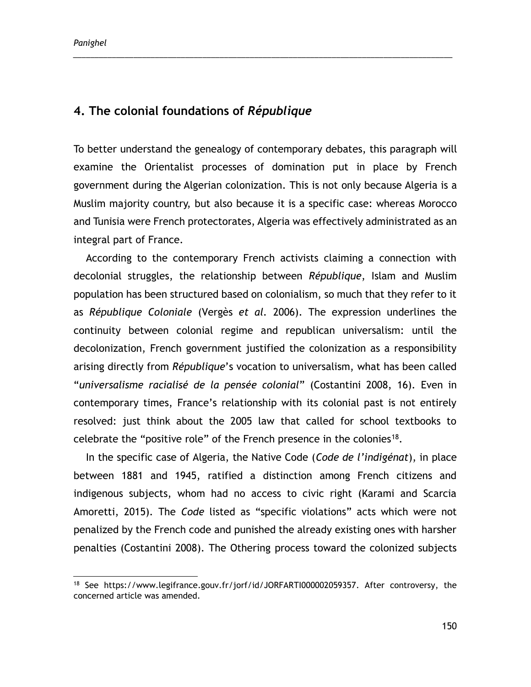*Panighel*

## **4. The colonial foundations of** *République*

To better understand the genealogy of contemporary debates, this paragraph will examine the Orientalist processes of domination put in place by French government during the Algerian colonization. This is not only because Algeria is a Muslim majority country, but also because it is a specific case: whereas Morocco and Tunisia were French protectorates, Algeria was effectively administrated as an integral part of France.

\_\_\_\_\_\_\_\_\_\_\_\_\_\_\_\_\_\_\_\_\_\_\_\_\_\_\_\_\_\_\_\_\_\_\_\_\_\_\_\_\_\_\_\_\_\_\_\_\_\_\_\_\_\_\_\_\_\_\_\_\_\_\_\_\_\_\_\_\_\_\_\_\_\_\_\_\_\_\_\_\_\_\_\_\_\_\_\_

According to the contemporary French activists claiming a connection with decolonial struggles, the relationship between *République*, Islam and Muslim population has been structured based on colonialism, so much that they refer to it as *République Coloniale* (Vergès *et al.* 2006). The expression underlines the continuity between colonial regime and republican universalism: until the decolonization, French government justified the colonization as a responsibility arising directly from *République*'s vocation to universalism, what has been called "*universalisme racialisé de la pensée colonial*" (Costantini 2008, 16). Even in contemporary times, France's relationship with its colonial past is not entirely resolved: just think about the 2005 law that called for school textbooks to celebrate the "positive role" of the French presence in the colonies<sup>18</sup>.

In the specific case of Algeria, the Native Code (*Code de l'indigénat*), in place between 1881 and 1945, ratified a distinction among French citizens and indigenous subjects, whom had no access to civic right (Karami and Scarcia Amoretti, 2015). The *Code* listed as "specific violations" acts which were not penalized by the French code and punished the already existing ones with harsher penalties (Costantini 2008). The Othering process toward the colonized subjects

<sup>18</sup> See [https://www.legifrance.gouv.fr/jorf/id/JORFARTI000002059357.](https://www.legifrance.gouv.fr/jorf/id/JORFARTI000002059357) After controversy, the concerned article was amended.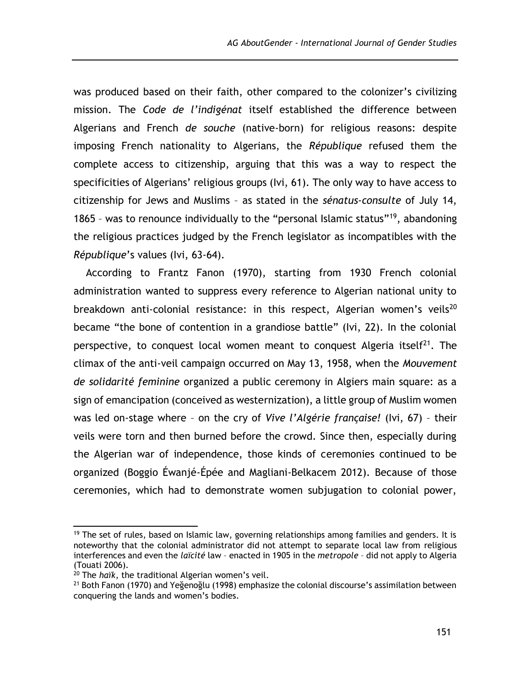was produced based on their faith, other compared to the colonizer's civilizing mission. The *Code de l'indigénat* itself established the difference between Algerians and French *de souche* (native-born) for religious reasons: despite imposing French nationality to Algerians, the *République* refused them the complete access to citizenship, arguing that this was a way to respect the specificities of Algerians' religious groups (Ivi, 61). The only way to have access to citizenship for Jews and Muslims – as stated in the *sénatus-consulte* of July 14, 1865 – was to renounce individually to the "personal Islamic status"<sup>19</sup>, abandoning the religious practices judged by the French legislator as incompatibles with the *République*'s values (Ivi, 63-64).

According to Frantz Fanon (1970), starting from 1930 French colonial administration wanted to suppress every reference to Algerian national unity to breakdown anti-colonial resistance: in this respect, Algerian women's veils<sup>20</sup> became "the bone of contention in a grandiose battle" (Ivi, 22). In the colonial perspective, to conquest local women meant to conquest Algeria itself<sup>21</sup>. The climax of the anti-veil campaign occurred on May 13, 1958, when the *Mouvement de solidarité feminine* organized a public ceremony in Algiers main square: as a sign of emancipation (conceived as westernization), a little group of Muslim women was led on-stage where – on the cry of *Vive l'Algérie française!* (Ivi, 67) – their veils were torn and then burned before the crowd. Since then, especially during the Algerian war of independence, those kinds of ceremonies continued to be organized (Boggio Éwanjé-Épée and Magliani-Belkacem 2012). Because of those ceremonies, which had to demonstrate women subjugation to colonial power,

 $\overline{a}$ 

 $19$  The set of rules, based on Islamic law, governing relationships among families and genders. It is noteworthy that the colonial administrator did not attempt to separate local law from religious interferences and even the *laïcité* law – enacted in 1905 in the *metropole* – did not apply to Algeria (Touati 2006).

<sup>20</sup> The *haïk*, the traditional Algerian women's veil.

<sup>&</sup>lt;sup>21</sup> Both Fanon (1970) and Yeğenoğlu (1998) emphasize the colonial discourse's assimilation between conquering the lands and women's bodies.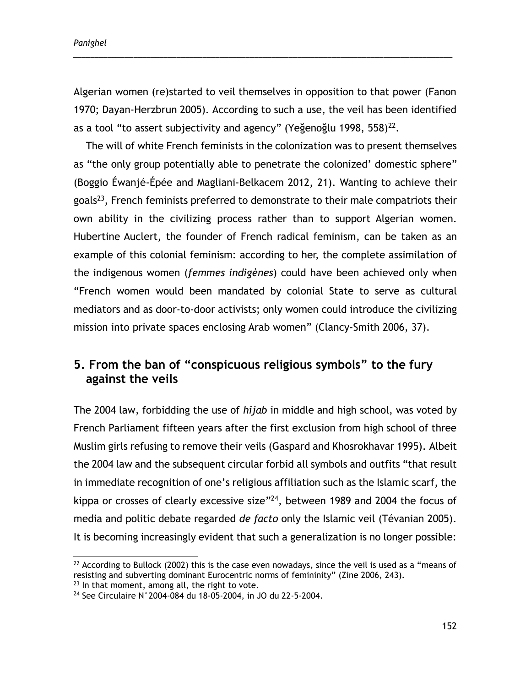*Panighel*

Algerian women (re)started to veil themselves in opposition to that power (Fanon 1970; Dayan-Herzbrun 2005). According to such a use, the veil has been identified as a tool "to assert subjectivity and agency" (Yeğenoğlu 1998, 558) $^{22}$ .

\_\_\_\_\_\_\_\_\_\_\_\_\_\_\_\_\_\_\_\_\_\_\_\_\_\_\_\_\_\_\_\_\_\_\_\_\_\_\_\_\_\_\_\_\_\_\_\_\_\_\_\_\_\_\_\_\_\_\_\_\_\_\_\_\_\_\_\_\_\_\_\_\_\_\_\_\_\_\_\_\_\_\_\_\_\_\_\_

The will of white French feminists in the colonization was to present themselves as "the only group potentially able to penetrate the colonized' domestic sphere" (Boggio Éwanjé-Épée and Magliani-Belkacem 2012, 21). Wanting to achieve their goals<sup>23</sup>, French feminists preferred to demonstrate to their male compatriots their own ability in the civilizing process rather than to support Algerian women. Hubertine Auclert, the founder of French radical feminism, can be taken as an example of this colonial feminism: according to her, the complete assimilation of the indigenous women (*femmes indigènes*) could have been achieved only when "French women would been mandated by colonial State to serve as cultural mediators and as door-to-door activists; only women could introduce the civilizing mission into private spaces enclosing Arab women" (Clancy-Smith 2006, 37).

# **5. From the ban of "conspicuous religious symbols" to the fury against the veils**

The 2004 law, forbidding the use of *hijab* in middle and high school, was voted by French Parliament fifteen years after the first exclusion from high school of three Muslim girls refusing to remove their veils (Gaspard and Khosrokhavar 1995). Albeit the 2004 law and the subsequent circular forbid all symbols and outfits "that result in immediate recognition of one's religious affiliation such as the Islamic scarf, the kippa or crosses of clearly excessive size"<sup>24</sup>, between 1989 and 2004 the focus of media and politic debate regarded *de facto* only the Islamic veil (Tévanian 2005). It is becoming increasingly evident that such a generalization is no longer possible:

 $22$  According to Bullock (2002) this is the case even nowadays, since the veil is used as a "means of resisting and subverting dominant Eurocentric norms of femininity" (Zine 2006, 243).  $23$  In that moment, among all, the right to vote.

<sup>24</sup> See Circulaire N°2004-084 du 18-05-2004, in JO du 22-5-2004.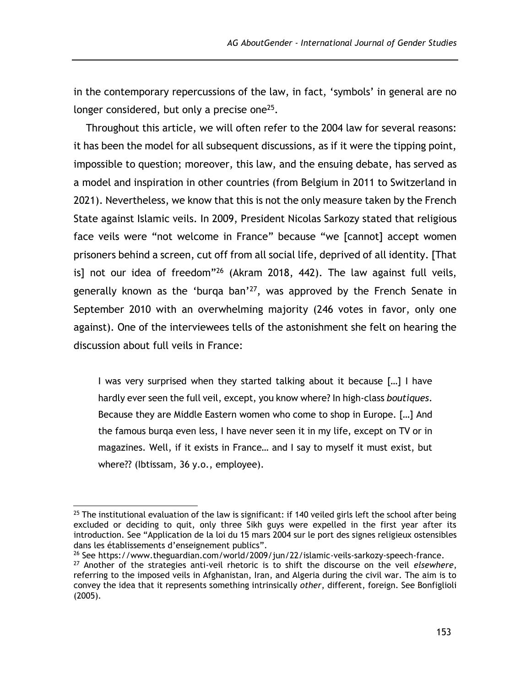in the contemporary repercussions of the law, in fact, 'symbols' in general are no longer considered, but only a precise one $25$ .

Throughout this article, we will often refer to the 2004 law for several reasons: it has been the model for all subsequent discussions, as if it were the tipping point, impossible to question; moreover, this law, and the ensuing debate, has served as a model and inspiration in other countries (from Belgium in 2011 to Switzerland in 2021). Nevertheless, we know that this is not the only measure taken by the French State against Islamic veils. In 2009, President Nicolas Sarkozy stated that religious face veils were "not welcome in France" because "we [cannot] accept women prisoners behind a screen, cut off from all social life, deprived of all identity. [That is] not our idea of freedom"<sup>26</sup> (Akram 2018, 442). The law against full veils, generally known as the 'burqa ban'<sup>27</sup>, was approved by the French Senate in September 2010 with an overwhelming majority (246 votes in favor, only one against). One of the interviewees tells of the astonishment she felt on hearing the discussion about full veils in France:

I was very surprised when they started talking about it because […] I have hardly ever seen the full veil, except, you know where? In high-class *boutiques*. Because they are Middle Eastern women who come to shop in Europe. […] And the famous burqa even less, I have never seen it in my life, except on TV or in magazines. Well, if it exists in France… and I say to myself it must exist, but where?? (Ibtissam, 36 y.o., employee).

<sup>26</sup> See [https://www.theguardian.com/world/2009/jun/22/islamic-veils-sarkozy-speech-france.](https://www.theguardian.com/world/2009/jun/22/islamic-veils-sarkozy-speech-france)

 $\overline{a}$  $25$  The institutional evaluation of the law is significant: if 140 veiled girls left the school after being excluded or deciding to quit, only three Sikh guys were expelled in the first year after its introduction. See "Application de la loi du 15 mars 2004 sur le port des signes religieux ostensibles dans les établissements d'enseignement publics".

<sup>27</sup> Another of the strategies anti-veil rhetoric is to shift the discourse on the veil *elsewhere*, referring to the imposed veils in Afghanistan, Iran, and Algeria during the civil war. The aim is to convey the idea that it represents something intrinsically *other*, different, foreign. See Bonfiglioli (2005).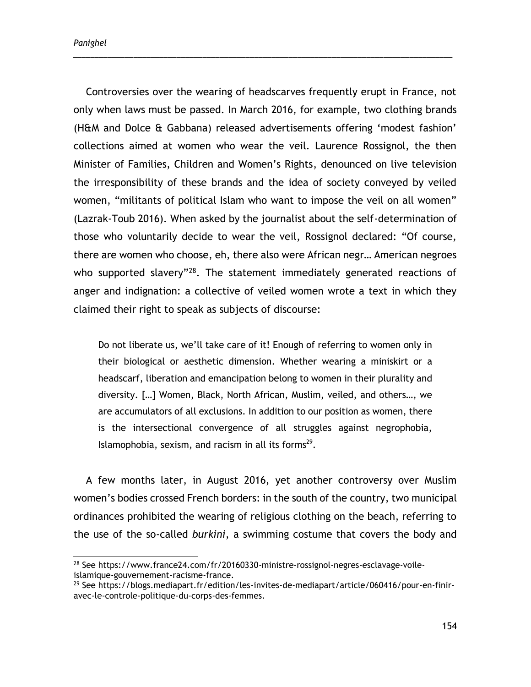Controversies over the wearing of headscarves frequently erupt in France, not only when laws must be passed. In March 2016, for example, two clothing brands (H&M and Dolce & Gabbana) released advertisements offering 'modest fashion' collections aimed at women who wear the veil. Laurence Rossignol, the then Minister of Families, Children and Women's Rights, denounced on live television the irresponsibility of these brands and the idea of society conveyed by veiled women, "militants of political Islam who want to impose the veil on all women" (Lazrak-Toub 2016). When asked by the journalist about the self-determination of those who voluntarily decide to wear the veil, Rossignol declared: "Of course, there are women who choose, eh, there also were African negr… American negroes who supported slavery"<sup>28</sup>. The statement immediately generated reactions of anger and indignation: a collective of veiled women wrote a text in which they claimed their right to speak as subjects of discourse:

\_\_\_\_\_\_\_\_\_\_\_\_\_\_\_\_\_\_\_\_\_\_\_\_\_\_\_\_\_\_\_\_\_\_\_\_\_\_\_\_\_\_\_\_\_\_\_\_\_\_\_\_\_\_\_\_\_\_\_\_\_\_\_\_\_\_\_\_\_\_\_\_\_\_\_\_\_\_\_\_\_\_\_\_\_\_\_\_

Do not liberate us, we'll take care of it! Enough of referring to women only in their biological or aesthetic dimension. Whether wearing a miniskirt or a headscarf, liberation and emancipation belong to women in their plurality and diversity. […] Women, Black, North African, Muslim, veiled, and others…, we are accumulators of all exclusions. In addition to our position as women, there is the intersectional convergence of all struggles against negrophobia, Islamophobia, sexism, and racism in all its forms $^{29}$ .

A few months later, in August 2016, yet another controversy over Muslim women's bodies crossed French borders: in the south of the country, two municipal ordinances prohibited the wearing of religious clothing on the beach, referring to the use of the so-called *burkini*, a swimming costume that covers the body and

<sup>28</sup> See [https://www.france24.com/fr/20160330-ministre-rossignol-negres-esclavage-voile](https://www.france24.com/fr/20160330-ministre-rossignol-negres-esclavage-voile-islamique-gouvernement-racisme-france)[islamique-gouvernement-racisme-france.](https://www.france24.com/fr/20160330-ministre-rossignol-negres-esclavage-voile-islamique-gouvernement-racisme-france)

<sup>&</sup>lt;sup>29</sup> See [https://blogs.mediapart.fr/edition/les-invites-de-mediapart/article/060416/pour-en-finir](https://blogs.mediapart.fr/edition/les-invites-de-mediapart/article/060416/pour-en-finir-avec-le-controle-politique-du-corps-des-femmes)[avec-le-controle-politique-du-corps-des-femmes.](https://blogs.mediapart.fr/edition/les-invites-de-mediapart/article/060416/pour-en-finir-avec-le-controle-politique-du-corps-des-femmes)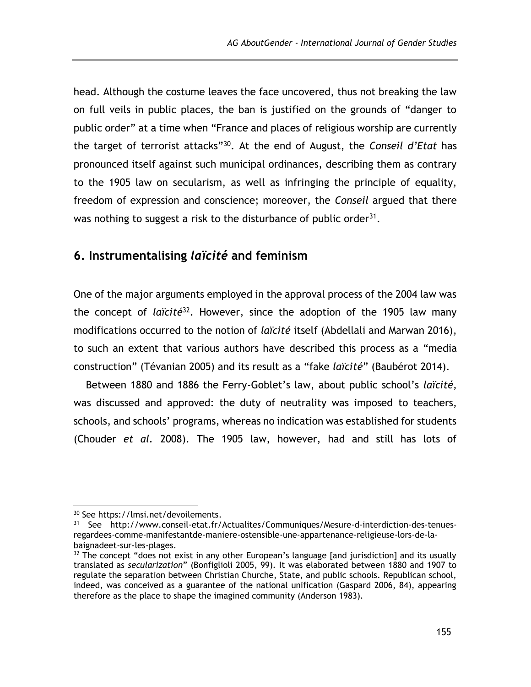head. Although the costume leaves the face uncovered, thus not breaking the law on full veils in public places, the ban is justified on the grounds of "danger to public order" at a time when "France and places of religious worship are currently the target of terrorist attacks"<sup>30</sup>. At the end of August, the *Conseil d'Etat* has pronounced itself against such municipal ordinances, describing them as contrary to the 1905 law on secularism, as well as infringing the principle of equality, freedom of expression and conscience; moreover, the *Conseil* argued that there was nothing to suggest a risk to the disturbance of public order<sup>31</sup>.

## **6. Instrumentalising** *laïcité* **and feminism**

One of the major arguments employed in the approval process of the 2004 law was the concept of *laïcité*<sup>32</sup>. However, since the adoption of the 1905 law many modifications occurred to the notion of *laïcité* itself (Abdellali and Marwan 2016), to such an extent that various authors have described this process as a "media construction" (Tévanian 2005) and its result as a "fake *laïcité*" (Baubérot 2014).

Between 1880 and 1886 the Ferry-Goblet's law, about public school's *laïcité*, was discussed and approved: the duty of neutrality was imposed to teachers, schools, and schools' programs, whereas no indication was established for students (Chouder *et al.* 2008). The 1905 law, however, had and still has lots of

 $\overline{a}$ <sup>30</sup> See [https://lmsi.net/devoilements.](https://lmsi.net/devoilements)

<sup>31</sup> See [http://www.conseil-etat.fr/Actualites/Communiques/Mesure-d-interdiction-des-tenues](http://www.conseil-etat.fr/Actualites/Communiques/Mesure-d-interdiction-des-tenues-regardees-comme-manifestantde-maniere-ostensible-une-appartenance-religieuse-lors-de-la-baignadeet-sur-les-plages)[regardees-comme-manifestantde-maniere-ostensible-une-appartenance-religieuse-lors-de-la](http://www.conseil-etat.fr/Actualites/Communiques/Mesure-d-interdiction-des-tenues-regardees-comme-manifestantde-maniere-ostensible-une-appartenance-religieuse-lors-de-la-baignadeet-sur-les-plages)[baignadeet-sur-les-plages.](http://www.conseil-etat.fr/Actualites/Communiques/Mesure-d-interdiction-des-tenues-regardees-comme-manifestantde-maniere-ostensible-une-appartenance-religieuse-lors-de-la-baignadeet-sur-les-plages)

<sup>&</sup>lt;sup>32</sup> The concept "does not exist in any other European's language [and jurisdiction] and its usually translated as *secularization*" (Bonfiglioli 2005, 99). It was elaborated between 1880 and 1907 to regulate the separation between Christian Churche, State, and public schools. Republican school, indeed, was conceived as a guarantee of the national unification (Gaspard 2006, 84), appearing therefore as the place to shape the imagined community (Anderson 1983).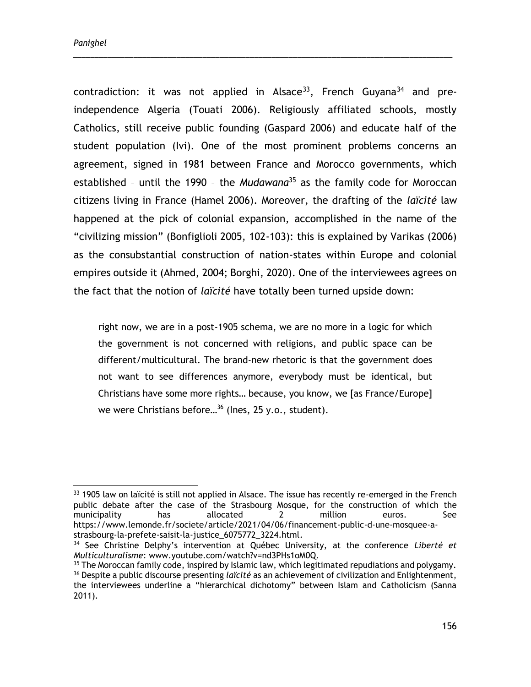$\overline{a}$ 

contradiction: it was not applied in Alsace<sup>33</sup>, French Guyana<sup>34</sup> and preindependence Algeria (Touati 2006). Religiously affiliated schools, mostly Catholics, still receive public founding (Gaspard 2006) and educate half of the student population (Ivi). One of the most prominent problems concerns an agreement, signed in 1981 between France and Morocco governments, which established – until the 1990 – the *Mudawana*<sup>35</sup> as the family code for Moroccan citizens living in France (Hamel 2006). Moreover, the drafting of the *laïcité* law happened at the pick of colonial expansion, accomplished in the name of the "civilizing mission" (Bonfiglioli 2005, 102-103): this is explained by Varikas (2006) as the consubstantial construction of nation-states within Europe and colonial empires outside it (Ahmed, 2004; Borghi, 2020). One of the interviewees agrees on the fact that the notion of *laïcité* have totally been turned upside down:

\_\_\_\_\_\_\_\_\_\_\_\_\_\_\_\_\_\_\_\_\_\_\_\_\_\_\_\_\_\_\_\_\_\_\_\_\_\_\_\_\_\_\_\_\_\_\_\_\_\_\_\_\_\_\_\_\_\_\_\_\_\_\_\_\_\_\_\_\_\_\_\_\_\_\_\_\_\_\_\_\_\_\_\_\_\_\_\_

right now, we are in a post-1905 schema, we are no more in a logic for which the government is not concerned with religions, and public space can be different/multicultural. The brand-new rhetoric is that the government does not want to see differences anymore, everybody must be identical, but Christians have some more rights… because, you know, we [as France/Europe] we were Christians before...<sup>36</sup> (lnes, 25 y.o., student).

<sup>&</sup>lt;sup>33</sup> 1905 law on laïcité is still not applied in Alsace. The issue has recently re-emerged in the French public debate after the case of the Strasbourg Mosque, for the construction of which the municipality has allocated 2 million euros. See [https://www.lemonde.fr/societe/article/2021/04/06/financement-public-d-une-mosquee-a](https://www.lemonde.fr/societe/article/2021/04/06/financement-public-d-une-mosquee-a-strasbourg-la-prefete-saisit-la-justice_6075772_3224.html)[strasbourg-la-prefete-saisit-la-justice\\_6075772\\_3224.html.](https://www.lemonde.fr/societe/article/2021/04/06/financement-public-d-une-mosquee-a-strasbourg-la-prefete-saisit-la-justice_6075772_3224.html)

<sup>34</sup> See Christine Delphy's intervention at Québec University, at the conference *Liberté et Multiculturalisme*: www.youtube.com/watch?v=nd3PHs1oM0Q.

<sup>&</sup>lt;sup>35</sup> The Moroccan family code, inspired by Islamic law, which legitimated repudiations and polygamy. <sup>36</sup> Despite a public discourse presenting *laïcité* as an achievement of civilization and Enlightenment, the interviewees underline a "hierarchical dichotomy" between Islam and Catholicism (Sanna 2011).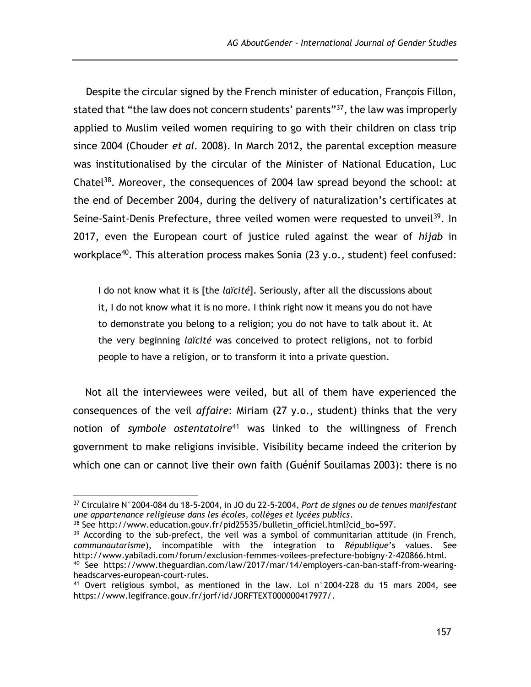Despite the circular signed by the French minister of education, François Fillon, stated that "the law does not concern students' parents"<sup>37</sup>, the law was improperly applied to Muslim veiled women requiring to go with their children on class trip since 2004 (Chouder *et al.* 2008). In March 2012, the parental exception measure was institutionalised by the circular of the Minister of National Education, Luc Chatel<sup>38</sup>. Moreover, the consequences of 2004 law spread beyond the school: at the end of December 2004, during the delivery of naturalization's certificates at Seine-Saint-Denis Prefecture, three veiled women were requested to unveil<sup>39</sup>. In 2017, even the European court of justice ruled against the wear of *hijab* in workplace<sup>40</sup>. This alteration process makes Sonia (23 y.o., student) feel confused:

I do not know what it is [the *laïcité*]. Seriously, after all the discussions about it, I do not know what it is no more. I think right now it means you do not have to demonstrate you belong to a religion; you do not have to talk about it. At the very beginning *laïcité* was conceived to protect religions, not to forbid people to have a religion, or to transform it into a private question.

Not all the interviewees were veiled, but all of them have experienced the consequences of the veil *affaire*: Miriam (27 y.o., student) thinks that the very notion of *symbole ostentatoire*<sup>41</sup> was linked to the willingness of French government to make religions invisible. Visibility became indeed the criterion by which one can or cannot live their own faith (Guénif Souilamas 2003): there is no

<sup>37</sup> Circulaire N°2004-084 du 18-5-2004, in JO du 22-5-2004, *Port de signes ou de tenues manifestant une appartenance religieuse dans les écoles, collèges et lycées publics*.

<sup>38</sup> See [http://www.education.gouv.fr/pid25535/bulletin\\_officiel.html?cid\\_bo=597.](http://www.education.gouv.fr/pid25535/bulletin_officiel.html?cid_bo=597)

 $39$  According to the sub-prefect, the veil was a symbol of communitarian attitude (in French, *communautarisme*), incompatible with the integration to *République*'s values. See [http://www.yabiladi.com/forum/exclusion-femmes-voilees-prefecture-bobigny-2-420866.html.](http://www.yabiladi.com/forum/exclusion-femmes-voilees-prefecture-bobigny-2-420866.html) <sup>40</sup> See [https://www.theguardian.com/law/2017/mar/14/employers-can-ban-staff-from-wearing-](https://www.theguardian.com/law/2017/mar/14/employers-can-ban-staff-from-wearing-headscarves-european-court-rules)

[headscarves-european-court-rules.](https://www.theguardian.com/law/2017/mar/14/employers-can-ban-staff-from-wearing-headscarves-european-court-rules) <sup>41</sup> Overt religious symbol, as mentioned in the law. Loi  $n^{\circ}$ 2004-228 du 15 mars 2004, see

[https://www.legifrance.gouv.fr/jorf/id/JORFTEXT000000417977/.](https://www.legifrance.gouv.fr/jorf/id/JORFTEXT000000417977/)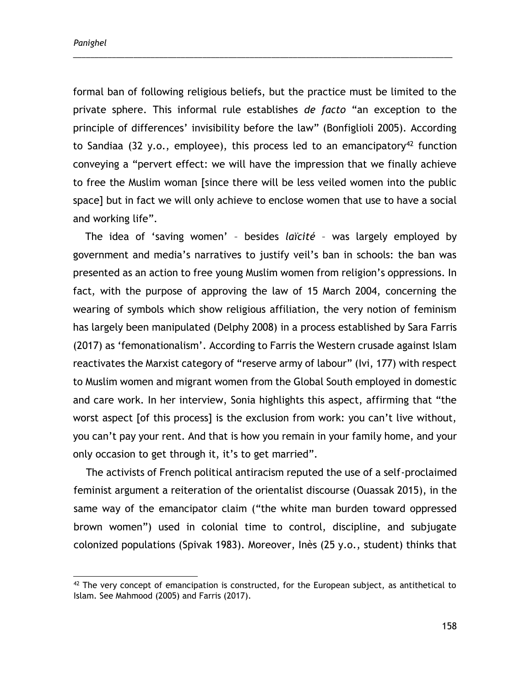formal ban of following religious beliefs, but the practice must be limited to the private sphere. This informal rule establishes *de facto* "an exception to the principle of differences' invisibility before the law" (Bonfiglioli 2005). According to Sandiaa (32 y.o., employee), this process led to an emancipatory<sup>42</sup> function conveying a "pervert effect: we will have the impression that we finally achieve to free the Muslim woman [since there will be less veiled women into the public space] but in fact we will only achieve to enclose women that use to have a social and working life".

\_\_\_\_\_\_\_\_\_\_\_\_\_\_\_\_\_\_\_\_\_\_\_\_\_\_\_\_\_\_\_\_\_\_\_\_\_\_\_\_\_\_\_\_\_\_\_\_\_\_\_\_\_\_\_\_\_\_\_\_\_\_\_\_\_\_\_\_\_\_\_\_\_\_\_\_\_\_\_\_\_\_\_\_\_\_\_\_

The idea of 'saving women' – besides *laïcité* – was largely employed by government and media's narratives to justify veil's ban in schools: the ban was presented as an action to free young Muslim women from religion's oppressions. In fact, with the purpose of approving the law of 15 March 2004, concerning the wearing of symbols which show religious affiliation, the very notion of feminism has largely been manipulated (Delphy 2008) in a process established by Sara Farris (2017) as 'femonationalism'. According to Farris the Western crusade against Islam reactivates the Marxist category of "reserve army of labour" (Ivi, 177) with respect to Muslim women and migrant women from the Global South employed in domestic and care work. In her interview, Sonia highlights this aspect, affirming that "the worst aspect [of this process] is the exclusion from work: you can't live without, you can't pay your rent. And that is how you remain in your family home, and your only occasion to get through it, it's to get married".

The activists of French political antiracism reputed the use of a self-proclaimed feminist argument a reiteration of the orientalist discourse (Ouassak 2015), in the same way of the emancipator claim ("the white man burden toward oppressed brown women") used in colonial time to control, discipline, and subjugate colonized populations (Spivak 1983). Moreover, Inès (25 y.o., student) thinks that

 $42$  The very concept of emancipation is constructed, for the European subject, as antithetical to Islam. See Mahmood (2005) and Farris (2017).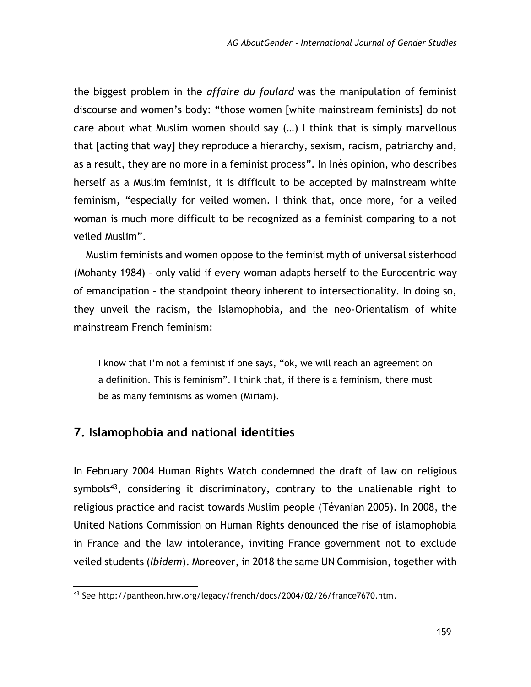the biggest problem in the *affaire du foulard* was the manipulation of feminist discourse and women's body: "those women [white mainstream feminists] do not care about what Muslim women should say (…) I think that is simply marvellous that [acting that way] they reproduce a hierarchy, sexism, racism, patriarchy and, as a result, they are no more in a feminist process". In Inès opinion, who describes herself as a Muslim feminist, it is difficult to be accepted by mainstream white feminism, "especially for veiled women. I think that, once more, for a veiled woman is much more difficult to be recognized as a feminist comparing to a not veiled Muslim".

Muslim feminists and women oppose to the feminist myth of universal sisterhood (Mohanty 1984) – only valid if every woman adapts herself to the Eurocentric way of emancipation – the standpoint theory inherent to intersectionality. In doing so, they unveil the racism, the Islamophobia, and the neo-Orientalism of white mainstream French feminism:

I know that I'm not a feminist if one says, "ok, we will reach an agreement on a definition. This is feminism". I think that, if there is a feminism, there must be as many feminisms as women (Miriam).

### **7. Islamophobia and national identities**

In February 2004 Human Rights Watch condemned the draft of law on religious symbols<sup>43</sup>, considering it discriminatory, contrary to the unalienable right to religious practice and racist towards Muslim people (Tévanian 2005). In 2008, the United Nations Commission on Human Rights denounced the rise of islamophobia in France and the law intolerance, inviting France government not to exclude veiled students (*Ibidem*). Moreover, in 2018 the same UN Commision, together with

<sup>&</sup>lt;sup>43</sup> See http://pantheon.hrw.org/legacy/french/docs/2004/02/26/france7670.htm.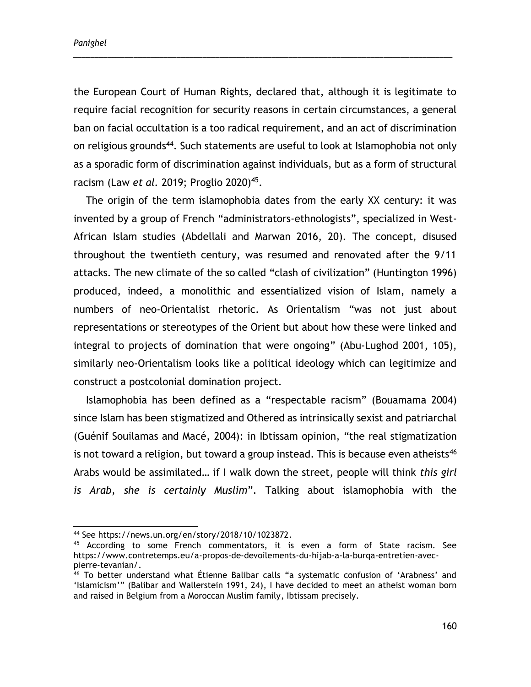*Panighel*

the European Court of Human Rights, declared that, although it is legitimate to require facial recognition for security reasons in certain circumstances, a general ban on facial occultation is a too radical requirement, and an act of discrimination on religious grounds<sup>44</sup>. Such statements are useful to look at Islamophobia not only as a sporadic form of discrimination against individuals, but as a form of structural racism (Law *et al.* 2019; Proglio 2020)<sup>45</sup>.

\_\_\_\_\_\_\_\_\_\_\_\_\_\_\_\_\_\_\_\_\_\_\_\_\_\_\_\_\_\_\_\_\_\_\_\_\_\_\_\_\_\_\_\_\_\_\_\_\_\_\_\_\_\_\_\_\_\_\_\_\_\_\_\_\_\_\_\_\_\_\_\_\_\_\_\_\_\_\_\_\_\_\_\_\_\_\_\_

The origin of the term islamophobia dates from the early XX century: it was invented by a group of French "administrators-ethnologists", specialized in West-African Islam studies (Abdellali and Marwan 2016, 20). The concept, disused throughout the twentieth century, was resumed and renovated after the 9/11 attacks. The new climate of the so called "clash of civilization" (Huntington 1996) produced, indeed, a monolithic and essentialized vision of Islam, namely a numbers of neo-Orientalist rhetoric. As Orientalism "was not just about representations or stereotypes of the Orient but about how these were linked and integral to projects of domination that were ongoing" (Abu-Lughod 2001, 105), similarly neo-Orientalism looks like a political ideology which can legitimize and construct a postcolonial domination project.

Islamophobia has been defined as a "respectable racism" (Bouamama 2004) since Islam has been stigmatized and Othered as intrinsically sexist and patriarchal (Guénif Souilamas and Macé, 2004): in Ibtissam opinion, "the real stigmatization is not toward a religion, but toward a group instead. This is because even atheists<sup>46</sup> Arabs would be assimilated… if I walk down the street, people will think *this girl is Arab, she is certainly Muslim*". Talking about islamophobia with the

 $\overline{a}$ 

<sup>44</sup> See [https://news.un.org/en/story/2018/10/1023872.](https://news.un.org/en/story/2018/10/1023872)

<sup>&</sup>lt;sup>45</sup> According to some French commentators, it is even a form of State racism. See [https://www.contretemps.eu/a-propos-de-devoilements-du-hijab-a-la-burqa-entretien-avec](https://www.contretemps.eu/a-propos-de-devoilements-du-hijab-a-la-burqa-entretien-avec-pierre-tevanian/)[pierre-tevanian/.](https://www.contretemps.eu/a-propos-de-devoilements-du-hijab-a-la-burqa-entretien-avec-pierre-tevanian/)

<sup>&</sup>lt;sup>46</sup> To better understand what Étienne Balibar calls "a systematic confusion of 'Arabness' and 'Islamicism'" (Balibar and Wallerstein 1991, 24), I have decided to meet an atheist woman born and raised in Belgium from a Moroccan Muslim family, Ibtissam precisely.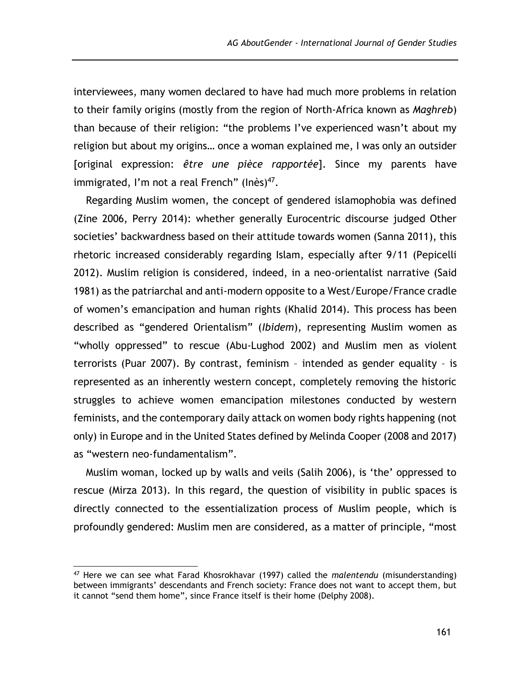interviewees, many women declared to have had much more problems in relation to their family origins (mostly from the region of North-Africa known as *Maghreb*) than because of their religion: "the problems I've experienced wasn't about my religion but about my origins… once a woman explained me, I was only an outsider [original expression: *être une pièce rapportée*]. Since my parents have immigrated, I'm not a real French" (Inès)<sup>47</sup>.

Regarding Muslim women, the concept of gendered islamophobia was defined (Zine 2006, Perry 2014): whether generally Eurocentric discourse judged Other societies' backwardness based on their attitude towards women (Sanna 2011), this rhetoric increased considerably regarding Islam, especially after 9/11 (Pepicelli 2012). Muslim religion is considered, indeed, in a neo-orientalist narrative (Said 1981) as the patriarchal and anti-modern opposite to a West/Europe/France cradle of women's emancipation and human rights (Khalid 2014). This process has been described as "gendered Orientalism" (*Ibidem*), representing Muslim women as "wholly oppressed" to rescue (Abu-Lughod 2002) and Muslim men as violent terrorists (Puar 2007). By contrast, feminism – intended as gender equality – is represented as an inherently western concept, completely removing the historic struggles to achieve women emancipation milestones conducted by western feminists, and the contemporary daily attack on women body rights happening (not only) in Europe and in the United States defined by Melinda Cooper (2008 and 2017) as "western neo-fundamentalism".

Muslim woman, locked up by walls and veils (Salih 2006), is 'the' oppressed to rescue (Mirza 2013). In this regard, the question of visibility in public spaces is directly connected to the essentialization process of Muslim people, which is profoundly gendered: Muslim men are considered, as a matter of principle, "most

<sup>47</sup> Here we can see what Farad Khosrokhavar (1997) called the *malentendu* (misunderstanding) between immigrants' descendants and French society: France does not want to accept them, but it cannot "send them home", since France itself is their home (Delphy 2008).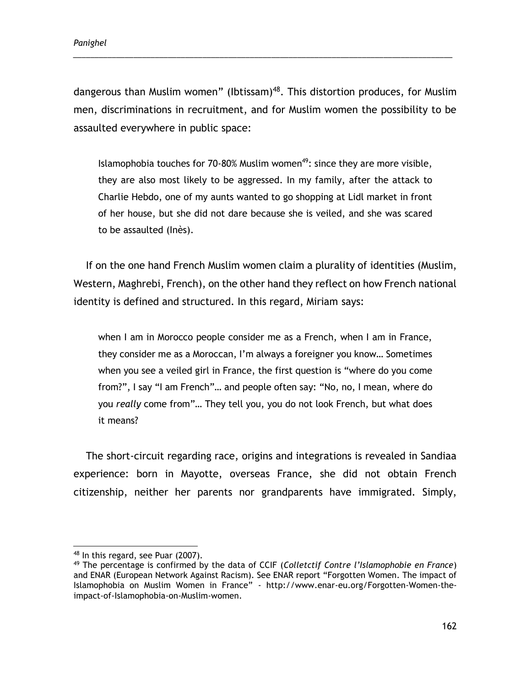dangerous than Muslim women" (Ibtissam)<sup>48</sup>. This distortion produces, for Muslim men, discriminations in recruitment, and for Muslim women the possibility to be assaulted everywhere in public space:

\_\_\_\_\_\_\_\_\_\_\_\_\_\_\_\_\_\_\_\_\_\_\_\_\_\_\_\_\_\_\_\_\_\_\_\_\_\_\_\_\_\_\_\_\_\_\_\_\_\_\_\_\_\_\_\_\_\_\_\_\_\_\_\_\_\_\_\_\_\_\_\_\_\_\_\_\_\_\_\_\_\_\_\_\_\_\_\_

Islamophobia touches for 70-80% Muslim women<sup>49</sup>: since they are more visible, they are also most likely to be aggressed. In my family, after the attack to Charlie Hebdo, one of my aunts wanted to go shopping at Lidl market in front of her house, but she did not dare because she is veiled, and she was scared to be assaulted (Inès).

If on the one hand French Muslim women claim a plurality of identities (Muslim, Western, Maghrebi, French), on the other hand they reflect on how French national identity is defined and structured. In this regard, Miriam says:

when I am in Morocco people consider me as a French, when I am in France, they consider me as a Moroccan, I'm always a foreigner you know… Sometimes when you see a veiled girl in France, the first question is "where do you come from?", I say "I am French"… and people often say: "No, no, I mean, where do you *really* come from"… They tell you, you do not look French, but what does it means?

The short-circuit regarding race, origins and integrations is revealed in Sandiaa experience: born in Mayotte, overseas France, she did not obtain French citizenship, neither her parents nor grandparents have immigrated. Simply,

 <sup>48</sup> In this regard, see Puar (2007).

<sup>49</sup> The percentage is confirmed by the data of CCIF (*Colletctif Contre l'Islamophobie en France*) and ENAR (European Network Against Racism). See ENAR report "Forgotten Women. The impact of Islamophobia on Muslim Women in France" - [http://www.enar-eu.org/Forgotten-Women-the](http://www.enar-eu.org/Forgotten-Women-the-impact-of-Islamophobia-on-Muslim-women)[impact-of-Islamophobia-on-Muslim-women.](http://www.enar-eu.org/Forgotten-Women-the-impact-of-Islamophobia-on-Muslim-women)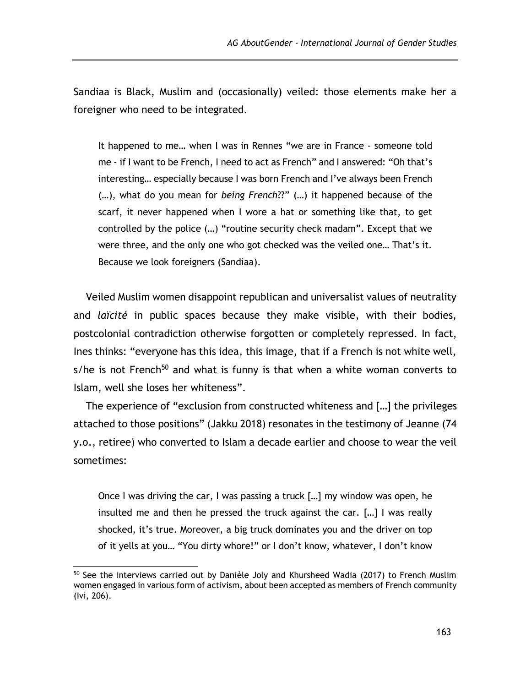Sandiaa is Black, Muslim and (occasionally) veiled: those elements make her a foreigner who need to be integrated.

It happened to me… when I was in Rennes "we are in France - someone told me - if I want to be French, I need to act as French" and I answered: "Oh that's interesting… especially because I was born French and I've always been French (…), what do you mean for *being French*??" (…) it happened because of the scarf, it never happened when I wore a hat or something like that, to get controlled by the police (…) "routine security check madam". Except that we were three, and the only one who got checked was the veiled one… That's it. Because we look foreigners (Sandiaa).

Veiled Muslim women disappoint republican and universalist values of neutrality and *laïcité* in public spaces because they make visible, with their bodies, postcolonial contradiction otherwise forgotten or completely repressed. In fact, Ines thinks: "everyone has this idea, this image, that if a French is not white well, s/he is not French<sup>50</sup> and what is funny is that when a white woman converts to Islam, well she loses her whiteness".

The experience of "exclusion from constructed whiteness and […] the privileges attached to those positions" (Jakku 2018) resonates in the testimony of Jeanne (74 y.o., retiree) who converted to Islam a decade earlier and choose to wear the veil sometimes:

Once I was driving the car, I was passing a truck […] my window was open, he insulted me and then he pressed the truck against the car. […] I was really shocked, it's true. Moreover, a big truck dominates you and the driver on top of it yells at you… "You dirty whore!" or I don't know, whatever, I don't know

<sup>&</sup>lt;sup>50</sup> See the interviews carried out by Danièle Joly and Khursheed Wadia (2017) to French Muslim women engaged in various form of activism, about been accepted as members of French community (Ivi, 206).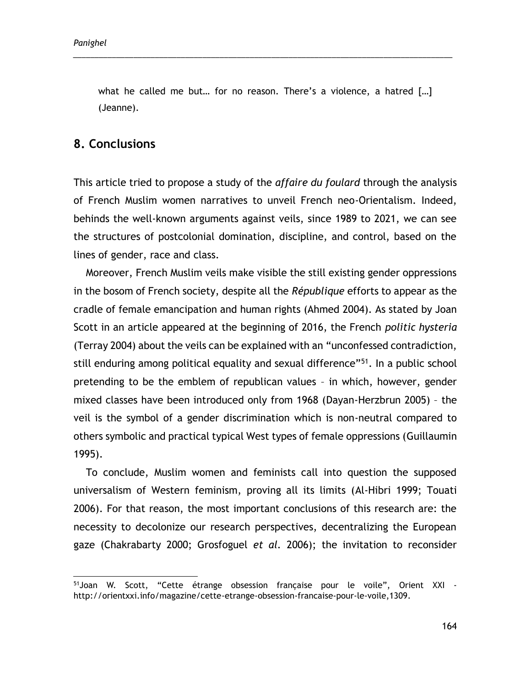what he called me but… for no reason. There's a violence, a hatred […] (Jeanne).

\_\_\_\_\_\_\_\_\_\_\_\_\_\_\_\_\_\_\_\_\_\_\_\_\_\_\_\_\_\_\_\_\_\_\_\_\_\_\_\_\_\_\_\_\_\_\_\_\_\_\_\_\_\_\_\_\_\_\_\_\_\_\_\_\_\_\_\_\_\_\_\_\_\_\_\_\_\_\_\_\_\_\_\_\_\_\_\_

### **8. Conclusions**

This article tried to propose a study of the *affaire du foulard* through the analysis of French Muslim women narratives to unveil French neo-Orientalism. Indeed, behinds the well-known arguments against veils, since 1989 to 2021, we can see the structures of postcolonial domination, discipline, and control, based on the lines of gender, race and class.

Moreover, French Muslim veils make visible the still existing gender oppressions in the bosom of French society, despite all the *République* efforts to appear as the cradle of female emancipation and human rights (Ahmed 2004). As stated by Joan Scott in an article appeared at the beginning of 2016, the French *politic hysteria*  (Terray 2004) about the veils can be explained with an "unconfessed contradiction, still enduring among political equality and sexual difference"<sup>51</sup>. In a public school pretending to be the emblem of republican values – in which, however, gender mixed classes have been introduced only from 1968 (Dayan-Herzbrun 2005) – the veil is the symbol of a gender discrimination which is non-neutral compared to others symbolic and practical typical West types of female oppressions (Guillaumin 1995).

To conclude, Muslim women and feminists call into question the supposed universalism of Western feminism, proving all its limits (Al-Hibri 1999; Touati 2006). For that reason, the most important conclusions of this research are: the necessity to decolonize our research perspectives, decentralizing the European gaze (Chakrabarty 2000; Grosfoguel *et al.* 2006); the invitation to reconsider

<sup>&</sup>lt;sup>51</sup>Joan W. Scott, "Cette étrange obsession française pour le voile", Orient XXI [http://orientxxi.info/magazine/cette-etrange-obsession-francaise-pour-le-voile,1309.](http://orientxxi.info/magazine/cette-etrange-obsession-francaise-pour-le-voile,1309)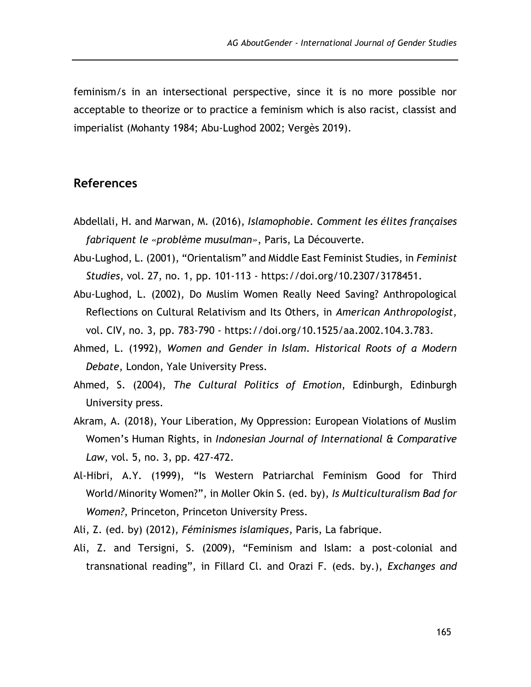feminism/s in an intersectional perspective, since it is no more possible nor acceptable to theorize or to practice a feminism which is also racist, classist and imperialist (Mohanty 1984; Abu-Lughod 2002; Vergès 2019).

#### **References**

- Abdellali, H. and Marwan, M. (2016), *Islamophobie. Comment les élites françaises fabriquent le «problème musulman»*, Paris, La Découverte.
- Abu-Lughod, L. (2001), "Orientalism" and Middle East Feminist Studies, in *Feminist Studies*, vol. 27, no. 1, pp. 101-113 - https://doi.org/10.2307/3178451.
- Abu-Lughod, L. (2002), Do Muslim Women Really Need Saving? Anthropological Reflections on Cultural Relativism and Its Others, in *American Anthropologist*, vol. CIV, no. 3, pp. 783-790 - https://doi.org/10.1525/aa.2002.104.3.783.
- Ahmed, L. (1992), *Women and Gender in Islam. Historical Roots of a Modern Debate*, London, Yale University Press.
- Ahmed, S. (2004), *The Cultural Politics of Emotion*, Edinburgh, Edinburgh University press.
- Akram, A. (2018), Your Liberation, My Oppression: European Violations of Muslim Women's Human Rights, in *Indonesian Journal of International & Comparative Law*, vol. 5, no. 3, pp. 427-472.
- Al-Hibri, A.Y. (1999), "Is Western Patriarchal Feminism Good for Third World/Minority Women?", in Moller Okin S. (ed. by), *Is Multiculturalism Bad for Women?*, Princeton, Princeton University Press.
- Ali, Z. (ed. by) (2012), *Féminismes islamiques*, Paris, La fabrique.
- Ali, Z. and Tersigni, S. (2009), "Feminism and Islam: a post-colonial and transnational reading", in Fillard Cl. and Orazi F. (eds. by.), *Exchanges and*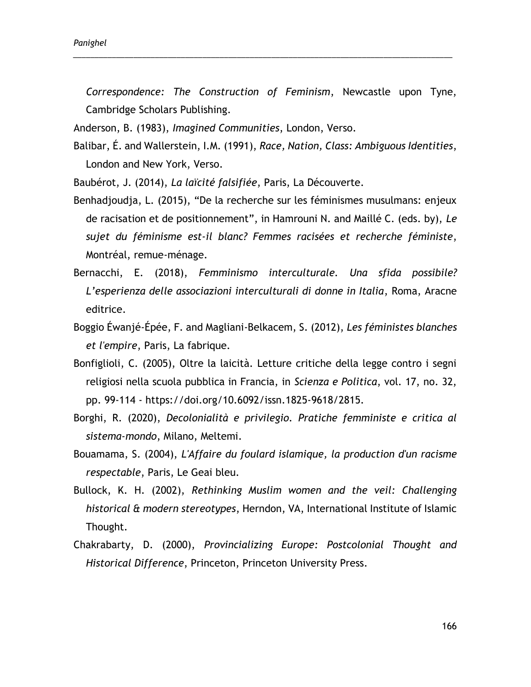*Correspondence: The Construction of Feminism*, Newcastle upon Tyne, Cambridge Scholars Publishing.

\_\_\_\_\_\_\_\_\_\_\_\_\_\_\_\_\_\_\_\_\_\_\_\_\_\_\_\_\_\_\_\_\_\_\_\_\_\_\_\_\_\_\_\_\_\_\_\_\_\_\_\_\_\_\_\_\_\_\_\_\_\_\_\_\_\_\_\_\_\_\_\_\_\_\_\_\_\_\_\_\_\_\_\_\_\_\_\_

Anderson, B. (1983), *Imagined Communities*, London, Verso.

- Balibar, É. and Wallerstein, I.M. (1991), *Race, Nation, Class: Ambiguous Identities*, London and New York, Verso.
- Baubérot, J. (2014), *La laïcité falsifiée*, Paris, La Découverte.
- Benhadjoudja, L. (2015), "De la recherche sur les féminismes musulmans: enjeux de racisation et de positionnement", in Hamrouni N. and Maillé C. (eds. by), *Le sujet du féminisme est-il blanc? Femmes racisées et recherche féministe*, Montréal, remue-ménage.
- Bernacchi, E. (2018), *Femminismo interculturale. Una sfida possibile? L'esperienza delle associazioni interculturali di donne in Italia*, Roma, Aracne editrice.
- Boggio Éwanjé-Épée, F. and Magliani-Belkacem, S. (2012), *Les féministes blanches et l'empire*, Paris, La fabrique.
- Bonfiglioli, C. (2005), Oltre la laicità. Letture critiche della legge contro i segni religiosi nella scuola pubblica in Francia, in *Scienza e Politica*, vol. 17, no. 32, pp. 99-114 - https://doi.org/10.6092/issn.1825-9618/2815.
- Borghi, R. (2020), *Decolonialità e privilegio. Pratiche femministe e critica al sistema-mondo*, Milano, Meltemi.
- Bouamama, S. (2004), *L'Affaire du foulard islamique, la production d'un racisme respectable*, Paris, Le Geai bleu.
- Bullock, K. H. (2002), *Rethinking Muslim women and the veil: Challenging historical & modern stereotypes*, Herndon, VA, International Institute of Islamic Thought.
- Chakrabarty, D. (2000), *Provincializing Europe: Postcolonial Thought and Historical Difference*, Princeton, Princeton University Press.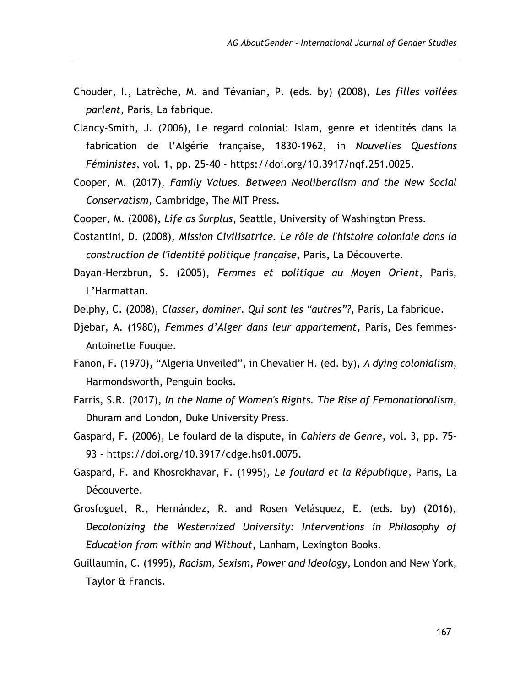- Chouder, I., Latrèche, M. and Tévanian, P. (eds. by) (2008), *Les filles voilées parlent*, Paris, La fabrique.
- Clancy-Smith, J. (2006), Le regard colonial: Islam, genre et identités dans la fabrication de l'Algérie française, 1830-1962, in *Nouvelles Questions Féministes*, vol. 1, pp. 25-40 - https://doi.org/10.3917/nqf.251.0025.
- Cooper, M. (2017), *Family Values. Between Neoliberalism and the New Social Conservatism*, Cambridge, The MIT Press.
- Cooper, M. (2008), *Life as Surplus*, Seattle, University of Washington Press.
- Costantini, D. (2008), *Mission Civilisatrice. Le rôle de l'histoire coloniale dans la construction de l'identité politique française*, Paris, La Découverte.
- Dayan-Herzbrun, S. (2005), *Femmes et politique au Moyen Orient*, Paris, L'Harmattan.
- Delphy, C. (2008), *Classer, dominer. Qui sont les "autres"?*, Paris, La fabrique.
- Djebar, A. (1980), *Femmes d'Alger dans leur appartement*, Paris, Des femmes-Antoinette Fouque.
- Fanon, F. (1970), "Algeria Unveiled", in Chevalier H. (ed. by), *A dying colonialism*, Harmondsworth, Penguin books.
- Farris, S.R. (2017), *In the Name of Women's Rights. The Rise of Femonationalism*, Dhuram and London, Duke University Press.
- Gaspard, F. (2006), Le foulard de la dispute, in *Cahiers de Genre*, vol. 3, pp. 75- 93 - https://doi.org/10.3917/cdge.hs01.0075.
- Gaspard, F. and Khosrokhavar, F. (1995), *Le foulard et la République*, Paris, La Découverte.
- Grosfoguel, R., Hernández, R. and Rosen Velásquez, E. (eds. by) (2016), *Decolonizing the Westernized University: Interventions in Philosophy of Education from within and Without*, Lanham, Lexington Books.
- Guillaumin, C. (1995), *Racism, Sexism, Power and Ideology*, London and New York, Taylor & Francis.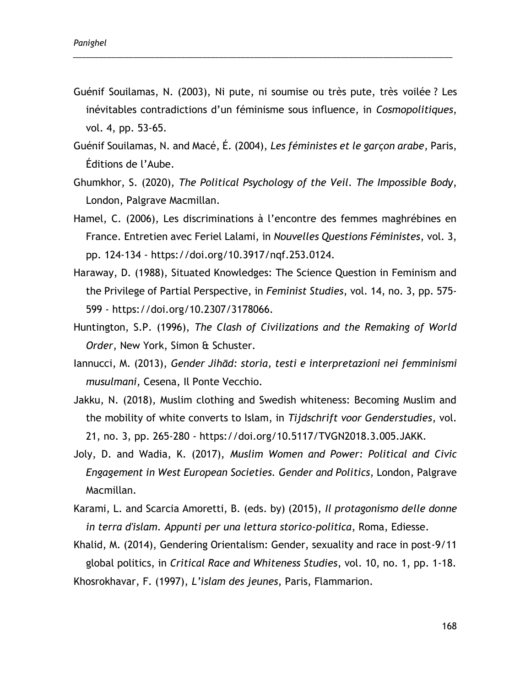Guénif Souilamas, N. (2003), Ni pute, ni soumise ou très pute, très voilée ? Les inévitables contradictions d'un féminisme sous influence, in *Cosmopolitiques*, vol. 4, pp. 53-65.

\_\_\_\_\_\_\_\_\_\_\_\_\_\_\_\_\_\_\_\_\_\_\_\_\_\_\_\_\_\_\_\_\_\_\_\_\_\_\_\_\_\_\_\_\_\_\_\_\_\_\_\_\_\_\_\_\_\_\_\_\_\_\_\_\_\_\_\_\_\_\_\_\_\_\_\_\_\_\_\_\_\_\_\_\_\_\_\_

- Guénif Souilamas, N. and Macé, É. (2004), *Les féministes et le garçon arabe*, Paris, Éditions de l'Aube.
- Ghumkhor, S. (2020), *The Political Psychology of the Veil. The Impossible Body*, London, Palgrave Macmillan.
- Hamel, C. (2006), Les discriminations à l'encontre des femmes maghrébines en France. Entretien avec Feriel Lalami, in *Nouvelles Questions Féministes*, vol. 3, pp. 124-134 - https://doi.org/10.3917/nqf.253.0124.
- Haraway, D. (1988), Situated Knowledges: The Science Question in Feminism and the Privilege of Partial Perspective, in *Feminist Studies*, vol. 14, no. 3, pp. 575- 599 - https://doi.org/10.2307/3178066.
- Huntington, S.P. (1996), *The Clash of Civilizations and the Remaking of World Order*, New York, Simon & Schuster.
- Iannucci, M. (2013), *Gender Jihād: storia, testi e interpretazioni nei femminismi musulmani*, Cesena, Il Ponte Vecchio.
- Jakku, N. (2018), Muslim clothing and Swedish whiteness: Becoming Muslim and the mobility of white converts to Islam, in *Tijdschrift voor Genderstudies*, vol. 21, no. 3, pp. 265-280 - https://doi.org/10.5117/TVGN2018.3.005.JAKK.
- Joly, D. and Wadia, K. (2017), *Muslim Women and Power: Political and Civic Engagement in West European Societies. Gender and Politics*, London, Palgrave Macmillan.
- Karami, L. and Scarcia Amoretti, B. (eds. by) (2015), *Il protagonismo delle donne in terra d'islam. Appunti per una lettura storico-politica*, Roma, Ediesse.

Khalid, M. (2014), Gendering Orientalism: Gender, sexuality and race in post-9/11 global politics, in *Critical Race and Whiteness Studies*, vol. 10, no. 1, pp. 1-18. Khosrokhavar, F. (1997), *L'islam des jeunes*, Paris, Flammarion.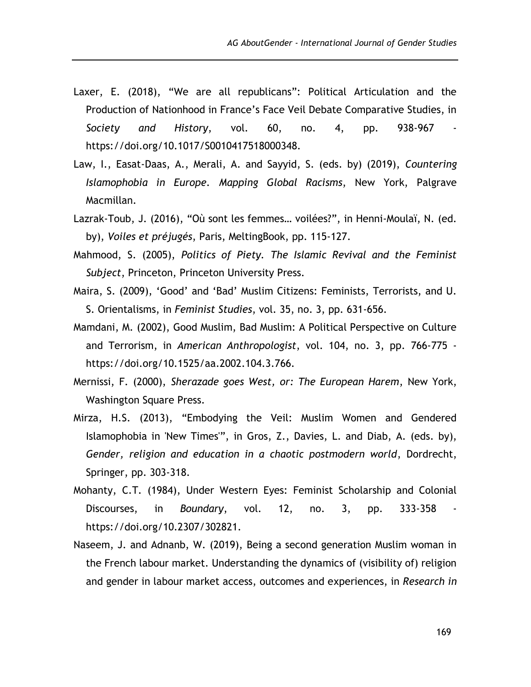- Laxer, E. (2018), "We are all republicans": Political Articulation and the Production of Nationhood in France's Face Veil Debate Comparative Studies, in *Society and History*, vol. 60, no. 4, pp. 938-967 https://doi.org/10.1017/S0010417518000348.
- Law, I., Easat-Daas, A., Merali, A. and Sayyid, S. (eds. by) (2019), *Countering Islamophobia in Europe. Mapping Global Racisms*, New York, Palgrave Macmillan.
- Lazrak-Toub, J. (2016), "Où sont les femmes… voilées?", in Henni-Moulaï, N. (ed. by), *Voiles et préjugés*, Paris, MeltingBook, pp. 115-127.
- Mahmood, S. (2005), *Politics of Piety. The Islamic Revival and the Feminist Subject*, Princeton, Princeton University Press.
- Maira, S. (2009), 'Good' and 'Bad' Muslim Citizens: Feminists, Terrorists, and U. S. Orientalisms, in *Feminist Studies*, vol. 35, no. 3, pp. 631-656.
- Mamdani, M. (2002), Good Muslim, Bad Muslim: A Political Perspective on Culture and Terrorism, in *American Anthropologist*, vol. 104, no. 3, pp. 766-775 https://doi.org/10.1525/aa.2002.104.3.766.
- Mernissi, F. (2000), *Sherazade goes West, or: The European Harem*, New York, Washington Square Press.
- Mirza, H.S. (2013), "Embodying the Veil: Muslim Women and Gendered Islamophobia in 'New Times'", in Gros, Z., Davies, L. and Diab, A. (eds. by), *Gender, religion and education in a chaotic postmodern world*, Dordrecht, Springer, pp. 303-318.
- Mohanty, C.T. (1984), Under Western Eyes: Feminist Scholarship and Colonial Discourses, in *Boundary*, vol. 12, no. 3, pp. 333-358 https://doi.org/10.2307/302821.
- Naseem, J. and Adnanb, W. (2019), Being a second generation Muslim woman in the French labour market. Understanding the dynamics of (visibility of) religion and gender in labour market access, outcomes and experiences, in *Research in*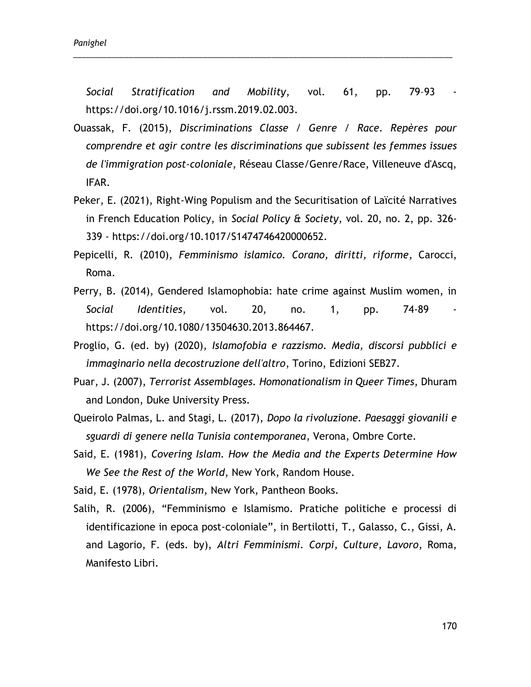Social Stratification and Mobility, vol. 61, pp. 79-93 https://doi.org/10.1016/j.rssm.2019.02.003.

\_\_\_\_\_\_\_\_\_\_\_\_\_\_\_\_\_\_\_\_\_\_\_\_\_\_\_\_\_\_\_\_\_\_\_\_\_\_\_\_\_\_\_\_\_\_\_\_\_\_\_\_\_\_\_\_\_\_\_\_\_\_\_\_\_\_\_\_\_\_\_\_\_\_\_\_\_\_\_\_\_\_\_\_\_\_\_\_

- Ouassak, F. (2015), *Discriminations Classe / Genre / Race. Repères pour comprendre et agir contre les discriminations que subissent les femmes issues de l'immigration post-coloniale*, Réseau Classe/Genre/Race, Villeneuve d'Ascq, IFAR.
- Peker, E. (2021), Right-Wing Populism and the Securitisation of Laïcité Narratives in French Education Policy, in *Social Policy & Society*, vol. 20, no. 2, pp. 326- 339 - https://doi.org/10.1017/S1474746420000652.
- Pepicelli, R. (2010), *Femminismo islamico. Corano, diritti, riforme*, Carocci, Roma.
- Perry, B. (2014), Gendered Islamophobia: hate crime against Muslim women, in *Social Identities*, vol. 20, no. 1, pp. 74-89 https://doi.org/10.1080/13504630.2013.864467.
- Proglio, G. (ed. by) (2020), *Islamofobia e razzismo. Media, discorsi pubblici e immaginario nella decostruzione dell'altro*, Torino, Edizioni SEB27.
- Puar, J. (2007), *Terrorist Assemblages. Homonationalism in Queer Times*, Dhuram and London, Duke University Press.
- Queirolo Palmas, L. and Stagi, L. (2017), *Dopo la rivoluzione. Paesaggi giovanili e sguardi di genere nella Tunisia contemporanea*, Verona, Ombre Corte.
- Said, E. (1981), *Covering Islam. How the Media and the Experts Determine How We See the Rest of the World*, New York, Random House.

Said, E. (1978), *Orientalism*, New York, Pantheon Books.

Salih, R. (2006), "Femminismo e Islamismo. Pratiche politiche e processi di identificazione in epoca post-coloniale", in Bertilotti, T., Galasso, C., Gissi, A. and Lagorio, F. (eds. by), *Altri Femminismi. Corpi, Culture, Lavoro*, Roma, Manifesto Libri.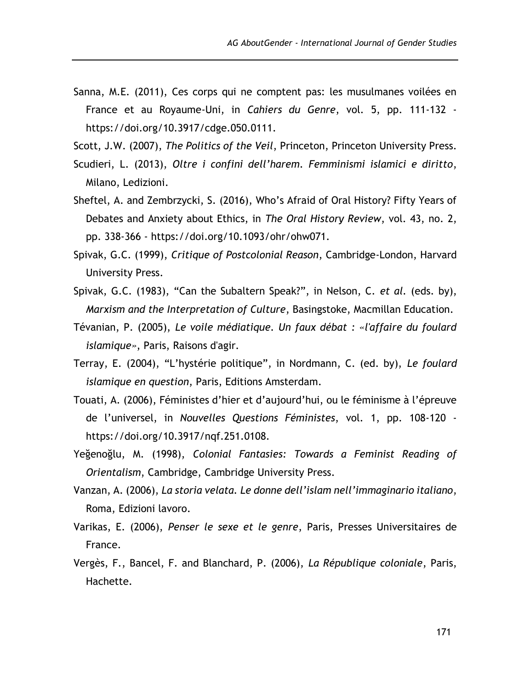- Sanna, M.E. (2011), Ces corps qui ne comptent pas: les musulmanes voilées en France et au Royaume-Uni, in *Cahiers du Genre*, vol. 5, pp. 111-132 https://doi.org/10.3917/cdge.050.0111.
- Scott, J.W. (2007), *The Politics of the Veil*, Princeton, Princeton University Press.
- Scudieri, L. (2013), *Oltre i confini dell'harem. Femminismi islamici e diritto*, Milano, Ledizioni.
- Sheftel, A. and Zembrzycki, S. (2016), Who's Afraid of Oral History? Fifty Years of Debates and Anxiety about Ethics, in *The Oral History Review*, vol. 43, no. 2, pp. 338-366 - https://doi.org/10.1093/ohr/ohw071.
- Spivak, G.C. (1999), *Critique of Postcolonial Reason*, Cambridge-London, Harvard University Press.
- Spivak, G.C. (1983), "Can the Subaltern Speak?", in Nelson, C. *et al.* (eds. by), *Marxism and the Interpretation of Culture*, Basingstoke, Macmillan Education.
- Tévanian, P. (2005), *Le voile médiatique. Un faux débat : «l'affaire du foulard islamique»*, Paris, Raisons d'agir.
- Terray, E. (2004), "L'hystérie politique", in Nordmann, C. (ed. by), *Le foulard islamique en question*, Paris, Editions Amsterdam.
- Touati, A. (2006), Féministes d'hier et d'aujourd'hui, ou le féminisme à l'épreuve de l'universel, in *Nouvelles Questions Féministes*, vol. 1, pp. 108-120 https://doi.org/10.3917/nqf.251.0108.
- Yeğenoğlu, M. (1998), *Colonial Fantasies: Towards a Feminist Reading of Orientalism*, Cambridge, Cambridge University Press.
- Vanzan, A. (2006), *La storia velata. Le donne dell'islam nell'immaginario italiano*, Roma, Edizioni lavoro.
- Varikas, E. (2006), *Penser le sexe et le genre*, Paris, Presses Universitaires de France.
- Vergès, F., Bancel, F. and Blanchard, P. (2006), *La République coloniale*, Paris, Hachette.